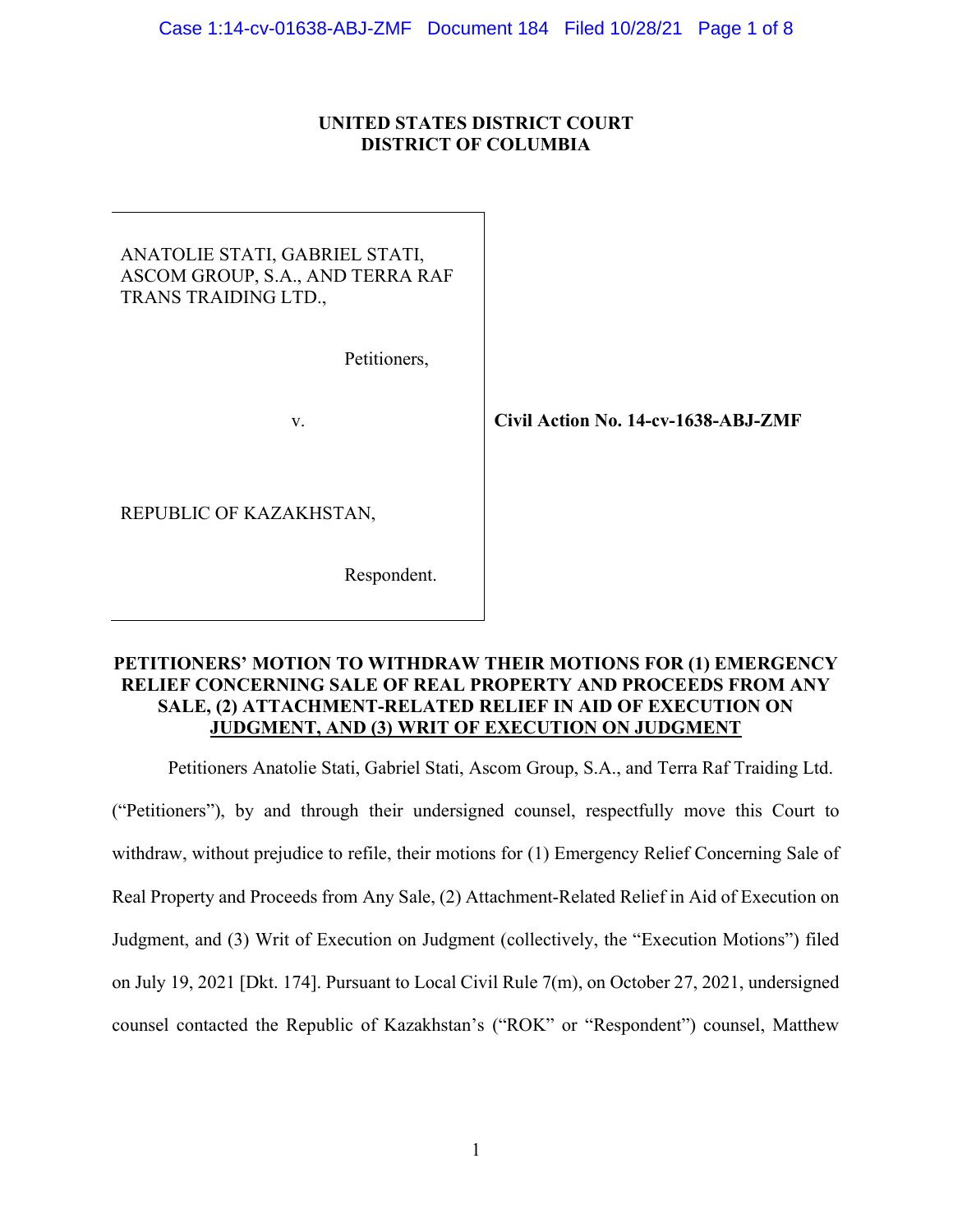# UNITED STATES DISTRICT COURT DISTRICT OF COLUMBIA

| ANATOLIE STATI, GABRIEL STATI,<br>ASCOM GROUP, S.A., AND TERRA RAF<br>TRANS TRAIDING LTD., |
|--------------------------------------------------------------------------------------------|
|                                                                                            |

Petitioners,

v. Civil Action No. 14-cv-1638-ABJ-ZMF

REPUBLIC OF KAZAKHSTAN,

Respondent.

# PETITIONERS' MOTION TO WITHDRAW THEIR MOTIONS FOR (1) EMERGENCY RELIEF CONCERNING SALE OF REAL PROPERTY AND PROCEEDS FROM ANY SALE, (2) ATTACHMENT-RELATED RELIEF IN AID OF EXECUTION ON JUDGMENT, AND (3) WRIT OF EXECUTION ON JUDGMENT

Petitioners Anatolie Stati, Gabriel Stati, Ascom Group, S.A., and Terra Raf Traiding Ltd.

("Petitioners"), by and through their undersigned counsel, respectfully move this Court to withdraw, without prejudice to refile, their motions for (1) Emergency Relief Concerning Sale of Real Property and Proceeds from Any Sale, (2) Attachment-Related Relief in Aid of Execution on Judgment, and (3) Writ of Execution on Judgment (collectively, the "Execution Motions") filed on July 19, 2021 [Dkt. 174]. Pursuant to Local Civil Rule 7(m), on October 27, 2021, undersigned counsel contacted the Republic of Kazakhstan's ("ROK" or "Respondent") counsel, Matthew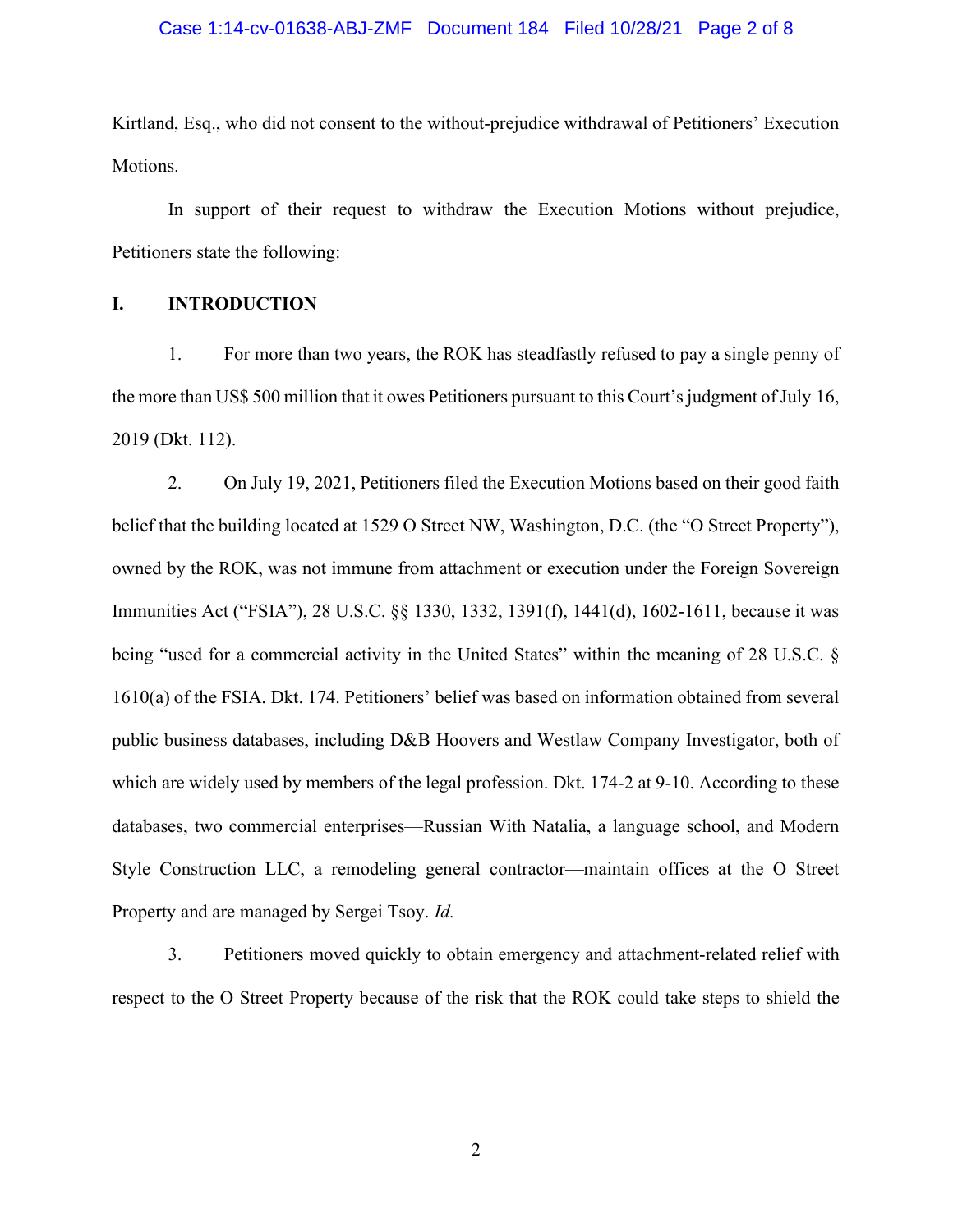### Case 1:14-cv-01638-ABJ-ZMF Document 184 Filed 10/28/21 Page 2 of 8

Kirtland, Esq., who did not consent to the without-prejudice withdrawal of Petitioners' Execution Motions.

In support of their request to withdraw the Execution Motions without prejudice, Petitioners state the following:

# I. INTRODUCTION

1. For more than two years, the ROK has steadfastly refused to pay a single penny of the more than US\$ 500 million that it owes Petitioners pursuant to this Court's judgment of July 16, 2019 (Dkt. 112).

2. On July 19, 2021, Petitioners filed the Execution Motions based on their good faith belief that the building located at 1529 O Street NW, Washington, D.C. (the "O Street Property"), owned by the ROK, was not immune from attachment or execution under the Foreign Sovereign Immunities Act ("FSIA"), 28 U.S.C. §§ 1330, 1332, 1391(f), 1441(d), 1602-1611, because it was being "used for a commercial activity in the United States" within the meaning of 28 U.S.C. § 1610(a) of the FSIA. Dkt. 174. Petitioners' belief was based on information obtained from several public business databases, including D&B Hoovers and Westlaw Company Investigator, both of which are widely used by members of the legal profession. Dkt. 174-2 at 9-10. According to these databases, two commercial enterprises—Russian With Natalia, a language school, and Modern Style Construction LLC, a remodeling general contractor—maintain offices at the O Street Property and are managed by Sergei Tsoy. *Id.* 

3. Petitioners moved quickly to obtain emergency and attachment-related relief with respect to the O Street Property because of the risk that the ROK could take steps to shield the

2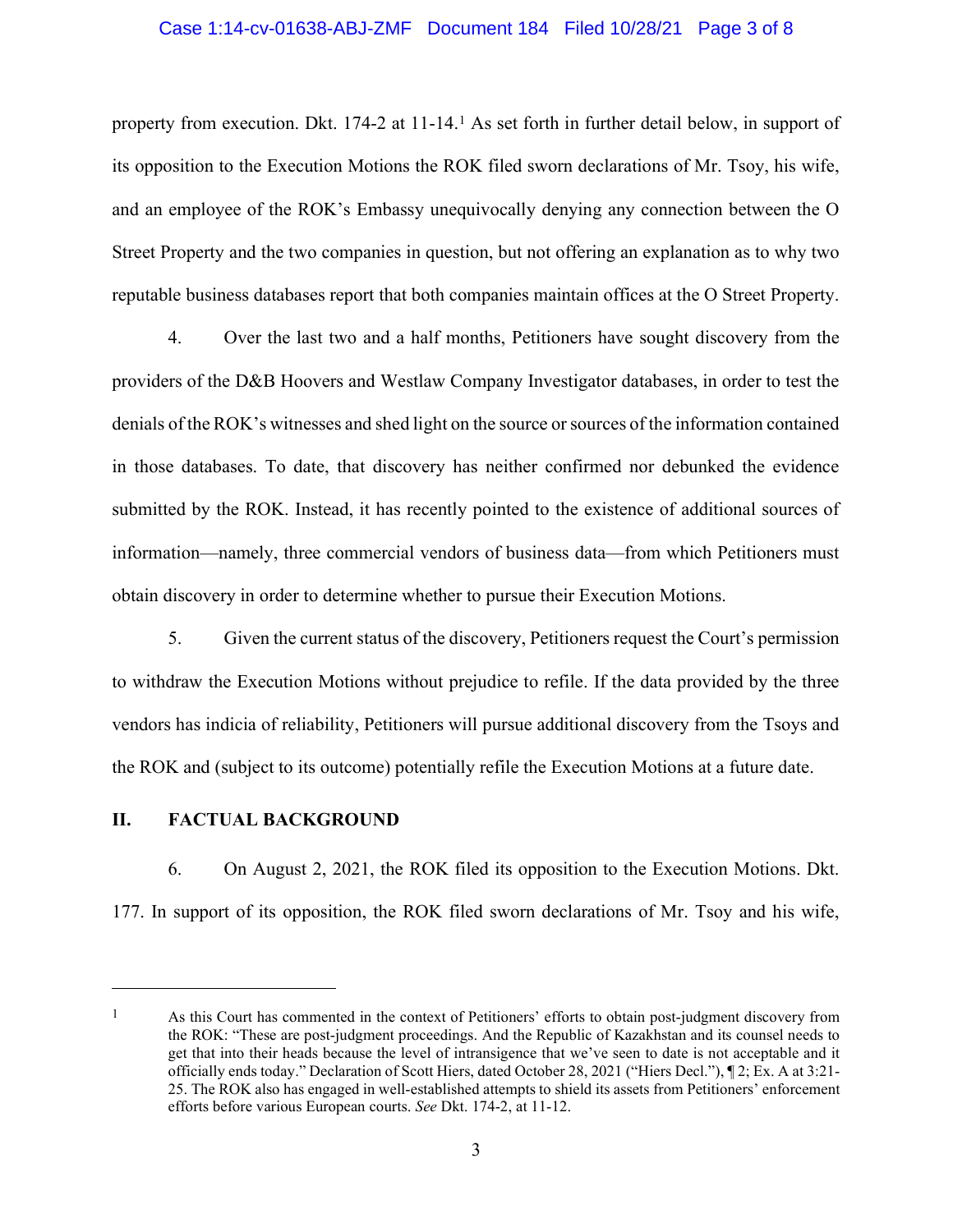### Case 1:14-cv-01638-ABJ-ZMF Document 184 Filed 10/28/21 Page 3 of 8

property from execution. Dkt. 174-2 at 11-14.1 As set forth in further detail below, in support of its opposition to the Execution Motions the ROK filed sworn declarations of Mr. Tsoy, his wife, and an employee of the ROK's Embassy unequivocally denying any connection between the O Street Property and the two companies in question, but not offering an explanation as to why two reputable business databases report that both companies maintain offices at the O Street Property.

4. Over the last two and a half months, Petitioners have sought discovery from the providers of the D&B Hoovers and Westlaw Company Investigator databases, in order to test the denials of the ROK's witnesses and shed light on the source or sources of the information contained in those databases. To date, that discovery has neither confirmed nor debunked the evidence submitted by the ROK. Instead, it has recently pointed to the existence of additional sources of information—namely, three commercial vendors of business data—from which Petitioners must obtain discovery in order to determine whether to pursue their Execution Motions.

5. Given the current status of the discovery, Petitioners request the Court's permission to withdraw the Execution Motions without prejudice to refile. If the data provided by the three vendors has indicia of reliability, Petitioners will pursue additional discovery from the Tsoys and the ROK and (subject to its outcome) potentially refile the Execution Motions at a future date.

## II. FACTUAL BACKGROUND

6. On August 2, 2021, the ROK filed its opposition to the Execution Motions. Dkt. 177. In support of its opposition, the ROK filed sworn declarations of Mr. Tsoy and his wife,

<sup>&</sup>lt;sup>1</sup> As this Court has commented in the context of Petitioners' efforts to obtain post-judgment discovery from the ROK: "These are post-judgment proceedings. And the Republic of Kazakhstan and its counsel needs to get that into their heads because the level of intransigence that we've seen to date is not acceptable and it officially ends today." Declaration of Scott Hiers, dated October 28, 2021 ("Hiers Decl."), ¶ 2; Ex. A at 3:21- 25. The ROK also has engaged in well-established attempts to shield its assets from Petitioners' enforcement efforts before various European courts. See Dkt. 174-2, at 11-12.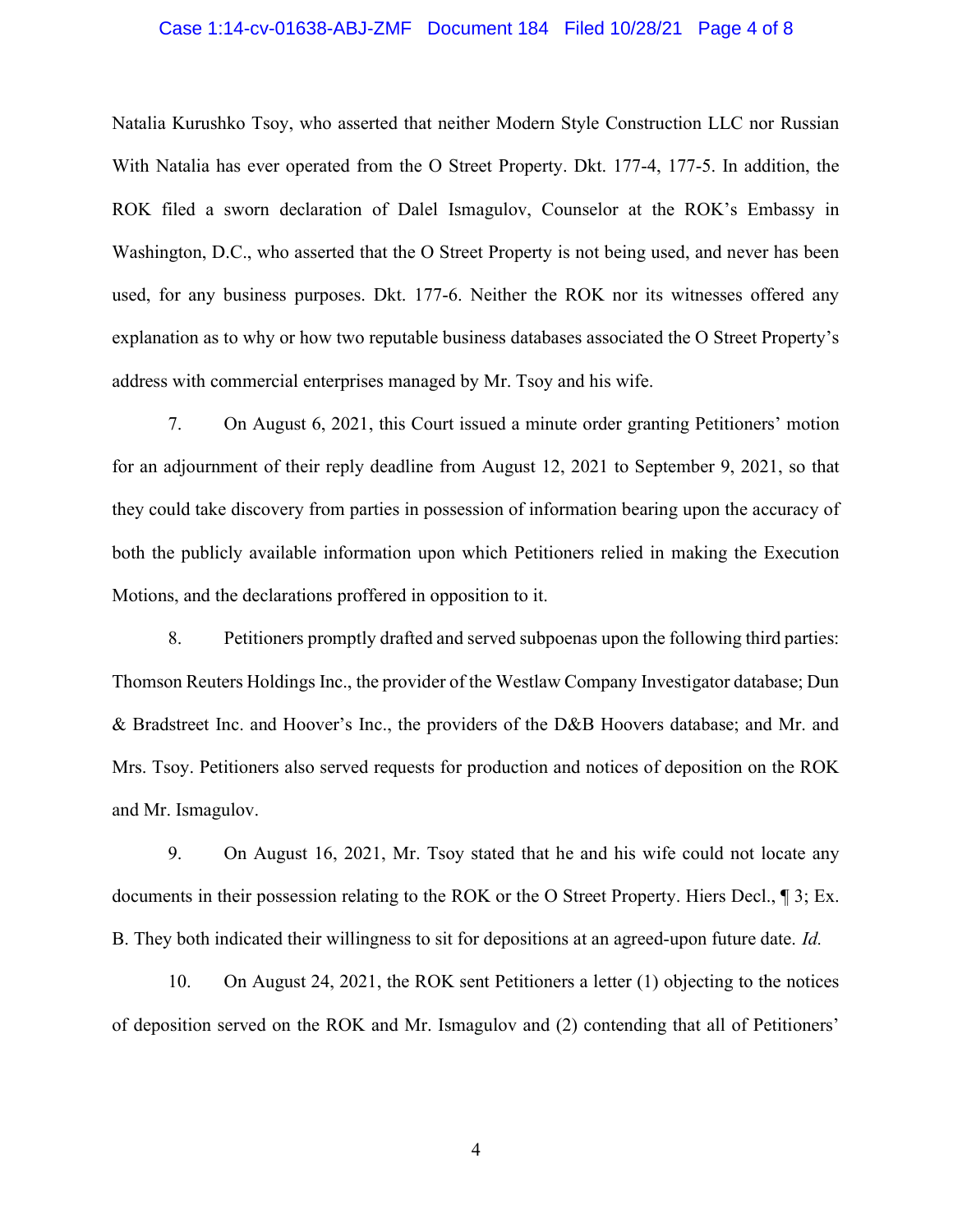### Case 1:14-cv-01638-ABJ-ZMF Document 184 Filed 10/28/21 Page 4 of 8

Natalia Kurushko Tsoy, who asserted that neither Modern Style Construction LLC nor Russian With Natalia has ever operated from the O Street Property. Dkt. 177-4, 177-5. In addition, the ROK filed a sworn declaration of Dalel Ismagulov, Counselor at the ROK's Embassy in Washington, D.C., who asserted that the O Street Property is not being used, and never has been used, for any business purposes. Dkt. 177-6. Neither the ROK nor its witnesses offered any explanation as to why or how two reputable business databases associated the O Street Property's address with commercial enterprises managed by Mr. Tsoy and his wife.

7. On August 6, 2021, this Court issued a minute order granting Petitioners' motion for an adjournment of their reply deadline from August 12, 2021 to September 9, 2021, so that they could take discovery from parties in possession of information bearing upon the accuracy of both the publicly available information upon which Petitioners relied in making the Execution Motions, and the declarations proffered in opposition to it.

8. Petitioners promptly drafted and served subpoenas upon the following third parties: Thomson Reuters Holdings Inc., the provider of the Westlaw Company Investigator database; Dun & Bradstreet Inc. and Hoover's Inc., the providers of the D&B Hoovers database; and Mr. and Mrs. Tsoy. Petitioners also served requests for production and notices of deposition on the ROK and Mr. Ismagulov.

9. On August 16, 2021, Mr. Tsoy stated that he and his wife could not locate any documents in their possession relating to the ROK or the O Street Property. Hiers Decl., ¶ 3; Ex. B. They both indicated their willingness to sit for depositions at an agreed-upon future date. Id.

10. On August 24, 2021, the ROK sent Petitioners a letter (1) objecting to the notices of deposition served on the ROK and Mr. Ismagulov and (2) contending that all of Petitioners'

4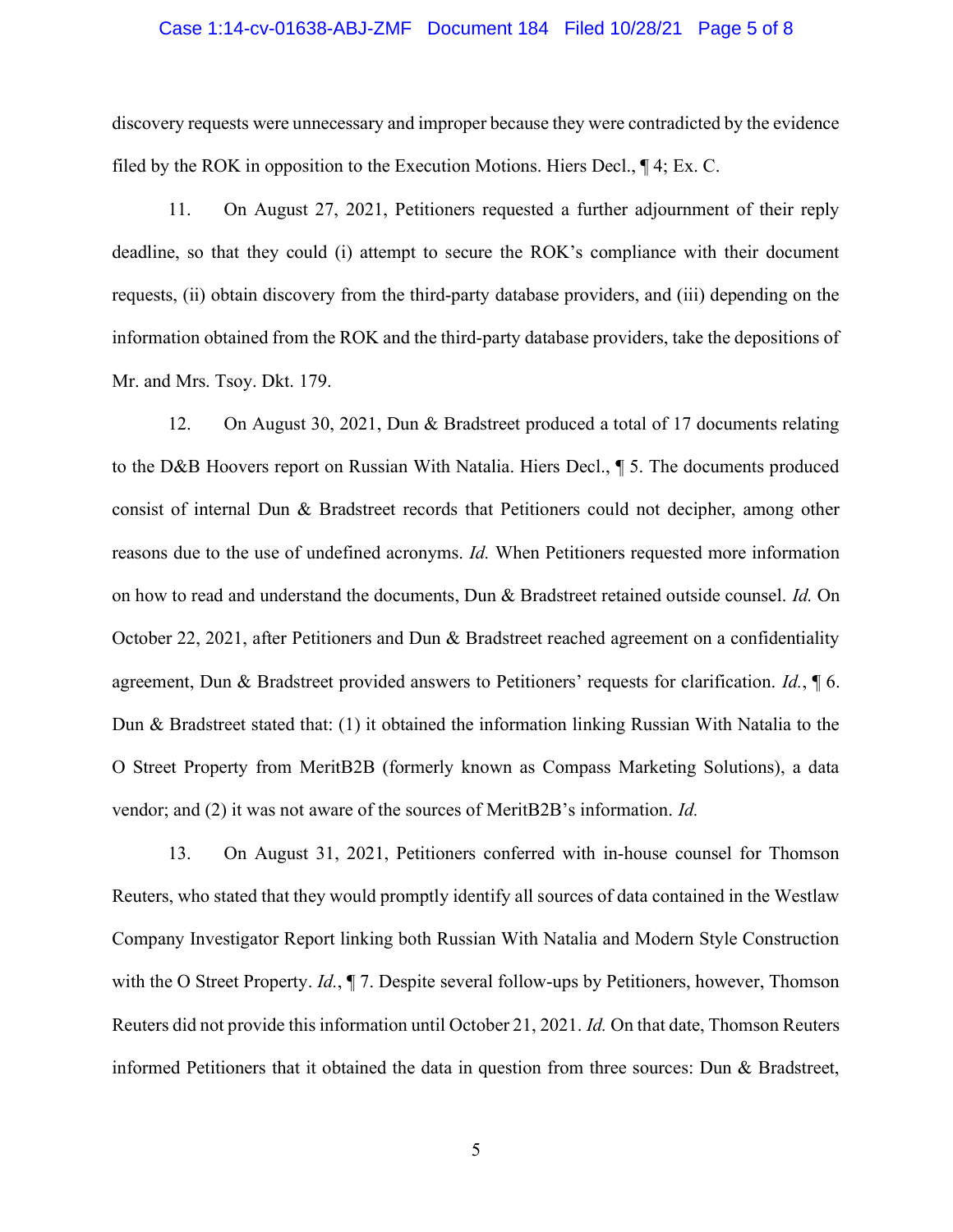#### Case 1:14-cv-01638-ABJ-ZMF Document 184 Filed 10/28/21 Page 5 of 8

discovery requests were unnecessary and improper because they were contradicted by the evidence filed by the ROK in opposition to the Execution Motions. Hiers Decl., ¶ 4; Ex. C.

11. On August 27, 2021, Petitioners requested a further adjournment of their reply deadline, so that they could (i) attempt to secure the ROK's compliance with their document requests, (ii) obtain discovery from the third-party database providers, and (iii) depending on the information obtained from the ROK and the third-party database providers, take the depositions of Mr. and Mrs. Tsoy. Dkt. 179.

12. On August 30, 2021, Dun & Bradstreet produced a total of 17 documents relating to the D&B Hoovers report on Russian With Natalia. Hiers Decl., ¶ 5. The documents produced consist of internal Dun & Bradstreet records that Petitioners could not decipher, among other reasons due to the use of undefined acronyms. Id. When Petitioners requested more information on how to read and understand the documents, Dun & Bradstreet retained outside counsel. Id. On October 22, 2021, after Petitioners and Dun & Bradstreet reached agreement on a confidentiality agreement, Dun & Bradstreet provided answers to Petitioners' requests for clarification.  $Id$ ,  $\P$  6. Dun & Bradstreet stated that: (1) it obtained the information linking Russian With Natalia to the O Street Property from MeritB2B (formerly known as Compass Marketing Solutions), a data vendor; and (2) it was not aware of the sources of MeritB2B's information. Id.

13. On August 31, 2021, Petitioners conferred with in-house counsel for Thomson Reuters, who stated that they would promptly identify all sources of data contained in the Westlaw Company Investigator Report linking both Russian With Natalia and Modern Style Construction with the O Street Property. Id.,  $\P$  7. Despite several follow-ups by Petitioners, however, Thomson Reuters did not provide this information until October 21, 2021. Id. On that date, Thomson Reuters informed Petitioners that it obtained the data in question from three sources: Dun & Bradstreet,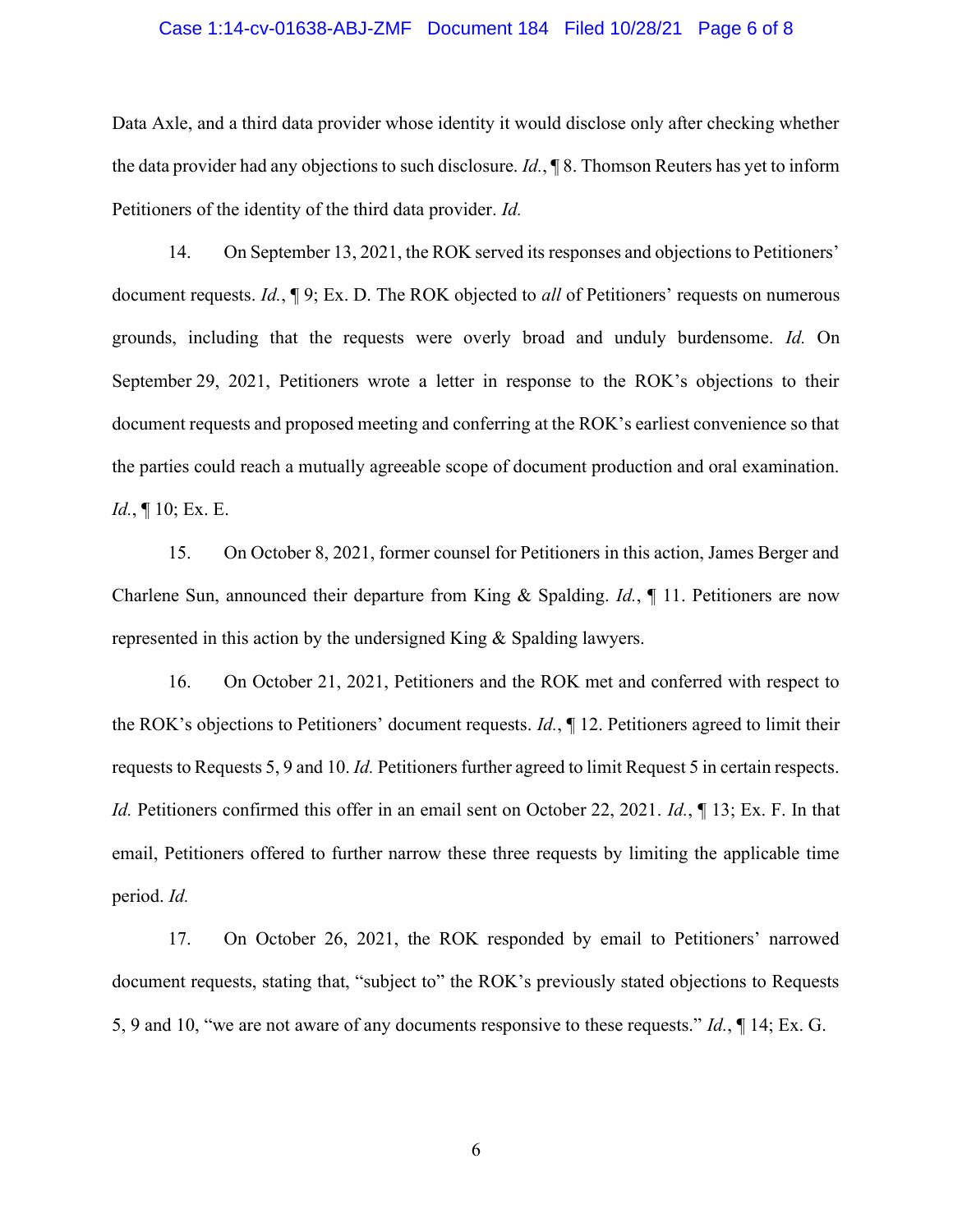### Case 1:14-cv-01638-ABJ-ZMF Document 184 Filed 10/28/21 Page 6 of 8

Data Axle, and a third data provider whose identity it would disclose only after checking whether the data provider had any objections to such disclosure. Id., ¶ 8. Thomson Reuters has yet to inform Petitioners of the identity of the third data provider. Id.

14. On September 13, 2021, the ROK served its responses and objections to Petitioners' document requests. Id.,  $\P$  9; Ex. D. The ROK objected to all of Petitioners' requests on numerous grounds, including that the requests were overly broad and unduly burdensome. Id. On September 29, 2021, Petitioners wrote a letter in response to the ROK's objections to their document requests and proposed meeting and conferring at the ROK's earliest convenience so that the parties could reach a mutually agreeable scope of document production and oral examination.  $Id., \P 10; Ex. E.$ 

15. On October 8, 2021, former counsel for Petitioners in this action, James Berger and Charlene Sun, announced their departure from King & Spalding. Id., ¶ 11. Petitioners are now represented in this action by the undersigned King & Spalding lawyers.

16. On October 21, 2021, Petitioners and the ROK met and conferred with respect to the ROK's objections to Petitioners' document requests. Id., ¶ 12. Petitioners agreed to limit their requests to Requests 5, 9 and 10. Id. Petitioners further agreed to limit Request 5 in certain respects. Id. Petitioners confirmed this offer in an email sent on October 22, 2021. Id.,  $\P$  13; Ex. F. In that email, Petitioners offered to further narrow these three requests by limiting the applicable time period. Id.

17. On October 26, 2021, the ROK responded by email to Petitioners' narrowed document requests, stating that, "subject to" the ROK's previously stated objections to Requests 5, 9 and 10, "we are not aware of any documents responsive to these requests." Id., ¶ 14; Ex. G.

6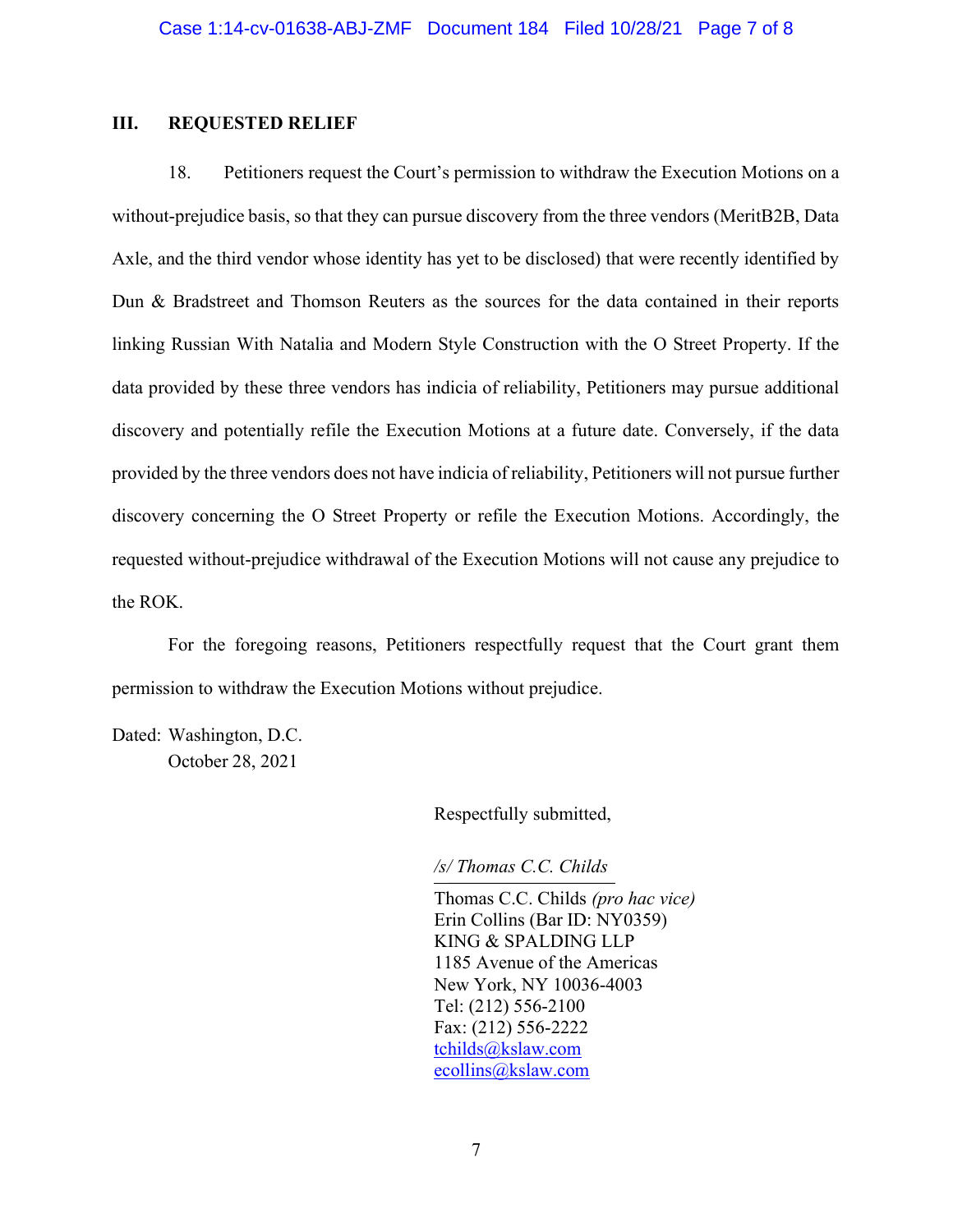## III. REQUESTED RELIEF

18. Petitioners request the Court's permission to withdraw the Execution Motions on a without-prejudice basis, so that they can pursue discovery from the three vendors (MeritB2B, Data Axle, and the third vendor whose identity has yet to be disclosed) that were recently identified by Dun & Bradstreet and Thomson Reuters as the sources for the data contained in their reports linking Russian With Natalia and Modern Style Construction with the O Street Property. If the data provided by these three vendors has indicia of reliability, Petitioners may pursue additional discovery and potentially refile the Execution Motions at a future date. Conversely, if the data provided by the three vendors does not have indicia of reliability, Petitioners will not pursue further discovery concerning the O Street Property or refile the Execution Motions. Accordingly, the requested without-prejudice withdrawal of the Execution Motions will not cause any prejudice to the ROK.

For the foregoing reasons, Petitioners respectfully request that the Court grant them permission to withdraw the Execution Motions without prejudice.

Dated: Washington, D.C. October 28, 2021

Respectfully submitted,

/s/ Thomas C.C. Childs

Thomas C.C. Childs (pro hac vice) Erin Collins (Bar ID: NY0359) KING & SPALDING LLP 1185 Avenue of the Americas New York, NY 10036-4003 Tel: (212) 556-2100 Fax: (212) 556-2222 tchilds@kslaw.com ecollins@kslaw.com